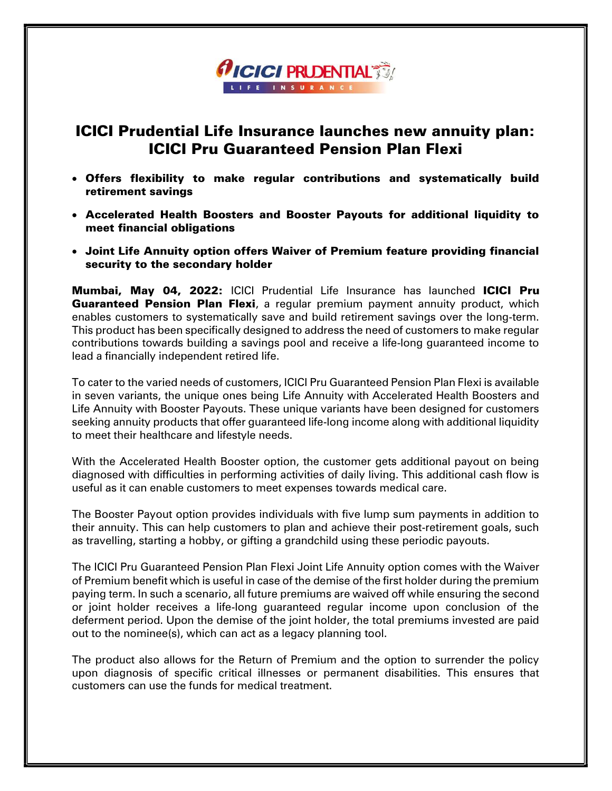## **AICICI PRUDENTIAL TO A** LIFE INSURANC

## ICICI Prudential Life Insurance launches new annuity plan: ICICI Pru Guaranteed Pension Plan Flexi

- Offers flexibility to make regular contributions and systematically build retirement savings
- Accelerated Health Boosters and Booster Payouts for additional liquidity to meet financial obligations
- Joint Life Annuity option offers Waiver of Premium feature providing financial security to the secondary holder

Mumbai, May 04, 2022: ICICI Prudential Life Insurance has launched ICICI Pru **Guaranteed Pension Plan Flexi**, a regular premium payment annuity product, which enables customers to systematically save and build retirement savings over the long-term. This product has been specifically designed to address the need of customers to make regular contributions towards building a savings pool and receive a life-long guaranteed income to lead a financially independent retired life.

To cater to the varied needs of customers, ICICI Pru Guaranteed Pension Plan Flexi is available in seven variants, the unique ones being Life Annuity with Accelerated Health Boosters and Life Annuity with Booster Payouts. These unique variants have been designed for customers seeking annuity products that offer guaranteed life-long income along with additional liquidity to meet their healthcare and lifestyle needs.

With the Accelerated Health Booster option, the customer gets additional payout on being diagnosed with difficulties in performing activities of daily living. This additional cash flow is useful as it can enable customers to meet expenses towards medical care.

The Booster Payout option provides individuals with five lump sum payments in addition to their annuity. This can help customers to plan and achieve their post-retirement goals, such as travelling, starting a hobby, or gifting a grandchild using these periodic payouts.

The ICICI Pru Guaranteed Pension Plan Flexi Joint Life Annuity option comes with the Waiver of Premium benefit which is useful in case of the demise of the first holder during the premium paying term. In such a scenario, all future premiums are waived off while ensuring the second or joint holder receives a life-long guaranteed regular income upon conclusion of the deferment period. Upon the demise of the joint holder, the total premiums invested are paid out to the nominee(s), which can act as a legacy planning tool.

The product also allows for the Return of Premium and the option to surrender the policy upon diagnosis of specific critical illnesses or permanent disabilities. This ensures that customers can use the funds for medical treatment.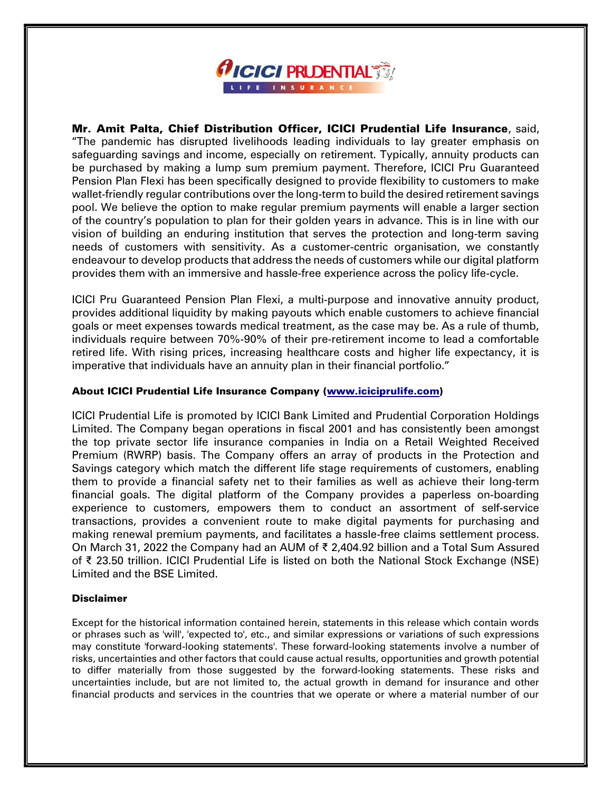

Mr. Amit Palta, Chief Distribution Officer, ICICI Prudential Life Insurance, said, "The pandemic has disrupted livelihoods leading individuals to lay greater emphasis on safeguarding savings and income, especially on retirement. Typically, annuity products can be purchased by making a lump sum premium payment. Therefore, ICICI Pru Guaranteed Pension Plan Flexi has been specifically designed to provide flexibility to customers to make wallet-friendly regular contributions over the long-term to build the desired retirement savings pool. We believe the option to make regular premium payments will enable a larger section of the country's population to plan for their golden years in advance. This is in line with our vision of building an enduring institution that serves the protection and long-term saving needs of customers with sensitivity. As a customer-centric organisation, we constantly endeavour to develop products that address the needs of customers while our digital platform provides them with an immersive and hassle-free experience across the policy life-cycle.

ICICI Pru Guaranteed Pension Plan Flexi, a multi-purpose and innovative annuity product, provides additional liquidity by making payouts which enable customers to achieve financial goals or meet expenses towards medical treatment, as the case may be. As a rule of thumb, individuals require between 70%-90% of their pre-retirement income to lead a comfortable retired life. With rising prices, increasing healthcare costs and higher life expectancy, it is imperative that individuals have an annuity plan in their financial portfolio."

## About ICICI Prudential Life Insurance Company (www.iciciprulife.com)

ICICI Prudential Life is promoted by ICICI Bank Limited and Prudential Corporation Holdings Limited. The Company began operations in fiscal 2001 and has consistently been amongst the top private sector life insurance companies in India on a Retail Weighted Received Premium (RWRP) basis. The Company offers an array of products in the Protection and Savings category which match the different life stage requirements of customers, enabling them to provide a financial safety net to their families as well as achieve their long-term financial goals. The digital platform of the Company provides a paperless on-boarding experience to customers, empowers them to conduct an assortment of self-service transactions, provides a convenient route to make digital payments for purchasing and making renewal premium payments, and facilitates a hassle-free claims settlement process. On March 31, 2022 the Company had an AUM of ₹ 2,404.92 billion and a Total Sum Assured of ₹ 23.50 trillion. ICICI Prudential Life is listed on both the National Stock Exchange (NSE) Limited and the BSE Limited.

## Disclaimer

Except for the historical information contained herein, statements in this release which contain words or phrases such as 'will', 'expected to', etc., and similar expressions or variations of such expressions may constitute 'forward-looking statements'. These forward-looking statements involve a number of risks, uncertainties and other factors that could cause actual results, opportunities and growth potential to differ materially from those suggested by the forward-looking statements. These risks and uncertainties include, but are not limited to, the actual growth in demand for insurance and other financial products and services in the countries that we operate or where a material number of our